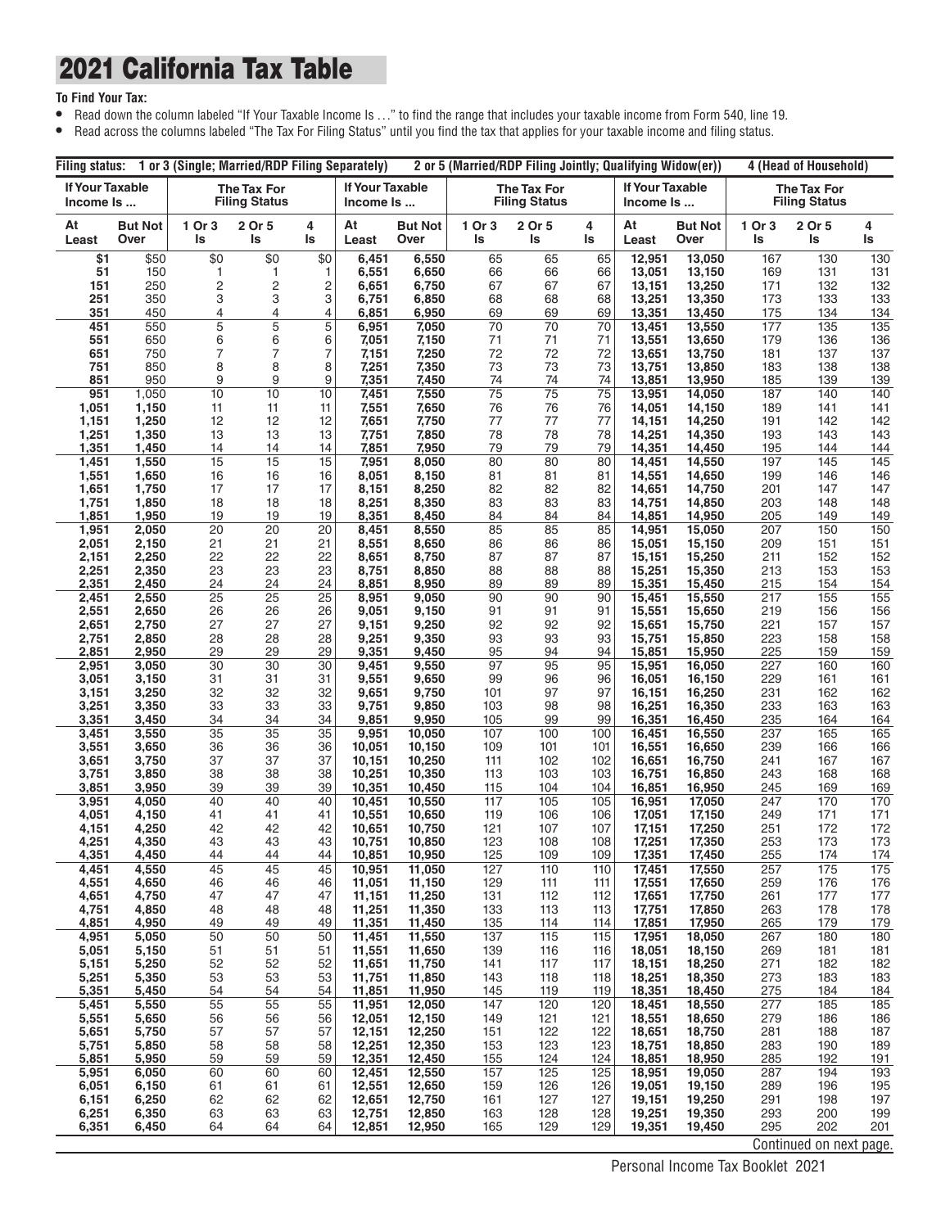#### 2021 California Tax Table

#### **To Find Your Tax:**

- **•** Read down the column labeled "If Your Taxable Income Is . . ." to find the range that includes your taxable income from Form 540, line 19.
- **•** Read across the columns labeled "The Tax For Filing Status" until you find the tax that applies for your taxable income and filing status.

| Filina status:                      |                        | 1 or 3 (Single; Married/RDP Filing Separately) |                                     |          |                              |                        |              | 2 or 5 (Married/RDP Filing Jointly; Qualifying Widow(er)) |                       |                                     | 4 (Head of Household)  |              |                                     |                   |
|-------------------------------------|------------------------|------------------------------------------------|-------------------------------------|----------|------------------------------|------------------------|--------------|-----------------------------------------------------------|-----------------------|-------------------------------------|------------------------|--------------|-------------------------------------|-------------------|
| <b>If Your Taxable</b><br>Income Is |                        |                                                | The Tax For<br><b>Filing Status</b> |          | If Your Taxable<br>Income Is |                        |              | The Tax For<br><b>Filing Status</b>                       |                       | <b>If Your Taxable</b><br>Income Is |                        |              | The Tax For<br><b>Filing Status</b> |                   |
| At<br>Least                         | <b>But Not</b><br>Over | 1 Or 3<br>Is                                   | 2 Or 5<br>ls                        | 4<br>ls  | At<br>Least                  | <b>But Not</b><br>Over | 1 Or 3<br>ls | 2 Or 5<br>ls                                              | 4<br>ls               | At<br>Least                         | <b>But Not</b><br>Over | 1 Or 3<br>ls | 2 Or 5<br>ls                        | 4<br>ls           |
| \$1                                 | \$50<br>150            | \$0                                            | \$0                                 | \$0      | 6,451<br>6,551               | 6,550<br>6,650         | 65<br>66     | 65<br>66                                                  | 65<br>66              | 12,951<br>13,051                    | 13,050<br>13,150       | 167          | 130                                 | 130               |
| 51<br>151                           | 250                    | 1<br>$\overline{c}$                            | 1<br>$\overline{c}$                 | 1<br>2   | 6,651                        | 6,750                  | 67           | 67                                                        | 67                    | 13,151                              | 13,250                 | 169<br>171   | 131<br>132                          | 131<br>132        |
| 251                                 | 350                    | 3                                              | 3                                   | 3        | 6,751                        | 6,850                  | 68           | 68                                                        | 68                    | 13,251                              | 13,350                 | 173          | 133                                 | 133               |
| 351                                 | 450                    | 4                                              | 4                                   | 4        | 6,851                        | 6,950                  | 69           | 69                                                        | 69                    | 13,351                              | 13,450                 | 175          | 134                                 | 134               |
| 451<br>551                          | 550<br>650             | 5<br>6                                         | $\overline{5}$<br>6                 | 5<br>6   | 6,951<br>7,051               | 7,050<br>7,150         | 70<br>71     | 70<br>71                                                  | 70<br>71              | 13,451<br>13,551                    | 13,550<br>13,650       | 177<br>179   | 135<br>136                          | 135<br>136        |
| 651                                 | 750                    | 7                                              | 7                                   | 7        | 7,151                        | 7,250                  | 72           | 72                                                        | 72                    | 13,651                              | 13,750                 | 181          | 137                                 | 137               |
| 751                                 | 850                    | 8                                              | 8                                   | 8        | 7,251                        | 7,350                  | 73           | 73                                                        | 73                    | 13,751                              | 13,850                 | 183          | 138                                 | 138               |
| 851<br>951                          | 950<br>1,050           | 9<br>10                                        | 9<br>10                             | 9<br>10  | 7,351<br>7,451               | 7,450<br>7,550         | 74<br>75     | 74<br>75                                                  | 74<br>$\overline{75}$ | 13,851<br>13,951                    | 13,950<br>14,050       | 185<br>187   | 139<br>140                          | 139<br>140        |
| 1,051                               | 1,150                  | 11                                             | 11                                  | 11       | 7,551                        | 7,650                  | 76           | 76                                                        | 76                    | 14,051                              | 14,150                 | 189          | 141                                 | 141               |
| 1,151                               | 1,250                  | 12                                             | 12                                  | 12       | 7,651                        | 7,750                  | 77           | 77                                                        | 77                    | 14,151                              | 14,250                 | 191          | 142                                 | 142               |
| 1,251                               | 1,350                  | 13                                             | 13                                  | 13       | 7,751                        | 7,850                  | 78           | 78                                                        | 78                    | 14,251                              | 14,350                 | 193          | 143                                 | 143               |
| 1,351<br>1,451                      | 1,450<br>1,550         | 14<br>15                                       | 14<br>15                            | 14<br>15 | 7,851<br>7,951               | 7,950<br>8,050         | 79<br>80     | 79<br>80                                                  | 79<br>80              | 14,351<br>14,451                    | 14,450<br>14,550       | 195<br>197   | 144<br>145                          | 144<br>145        |
| 1,551                               | 1,650                  | 16                                             | 16                                  | 16       | 8,051                        | 8,150                  | 81           | 81                                                        | 81                    | 14,551                              | 14,650                 | 199          | 146                                 | 146               |
| 1,651                               | 1,750                  | 17                                             | 17                                  | 17       | 8,151                        | 8,250                  | 82           | 82                                                        | 82                    | 14,651                              | 14,750                 | 201          | 147                                 | 147               |
| 1,751<br>1,851                      | 1,850<br>1,950         | 18<br>19                                       | 18<br>19                            | 18<br>19 | 8,251<br>8,351               | 8,350<br>8,450         | 83<br>84     | 83<br>84                                                  | 83<br>84              | 14,751<br>14,851                    | 14,850<br>14,950       | 203<br>205   | 148<br>149                          | 148<br>149        |
| 1,951                               | 2,050                  | 20                                             | 20                                  | 20       | 8,451                        | 8,550                  | 85           | 85                                                        | 85                    | 14,951                              | 15,050                 | 207          | 150                                 | 150               |
| 2,051                               | 2,150                  | 21                                             | 21                                  | 21       | 8,551                        | 8,650                  | 86           | 86                                                        | 86                    | 15,051                              | 15,150                 | 209          | 151                                 | 151               |
| 2,151                               | 2,250                  | 22                                             | 22                                  | 22       | 8,651                        | 8,750                  | 87           | 87                                                        | 87                    | 15,151                              | 15,250                 | 211          | 152                                 | 152               |
| 2,251<br>2,351                      | 2,350<br>2,450         | 23<br>24                                       | 23<br>24                            | 23<br>24 | 8,751<br>8,851               | 8,850<br>8,950         | 88<br>89     | 88<br>89                                                  | 88<br>89              | 15,251<br>15,351                    | 15,350<br>15,450       | 213<br>215   | 153<br>154                          | 153<br><u>154</u> |
| 2,451                               | 2,550                  | 25                                             | 25                                  | 25       | 8,951                        | 9,050                  | 90           | 90                                                        | 90                    | 15,451                              | 15,550                 | 217          | 155                                 | 155               |
| 2,551                               | 2,650                  | 26                                             | 26                                  | 26       | 9,051                        | 9,150                  | 91           | 91                                                        | 91                    | 15,551                              | 15,650                 | 219          | 156                                 | 156               |
| 2,651<br>2,751                      | 2,750<br>2,850         | 27<br>28                                       | 27<br>28                            | 27<br>28 | 9,151<br>9,251               | 9,250<br>9,350         | 92<br>93     | 92<br>93                                                  | 92<br>93              | 15,651<br>15,751                    | 15,750<br>15,850       | 221<br>223   | 157<br>158                          | 157<br>158        |
| 2,851                               | 2,950                  | 29                                             | 29                                  | 29       | 9,351                        | 9,450                  | 95           | 94                                                        | 94                    | 15,851                              | 15,950                 | 225          | 159                                 | 159               |
| 2,951                               | 3,050                  | 30                                             | 30                                  | 30       | 9,451                        | 9,550                  | 97           | 95                                                        | 95                    | 15,951                              | 16,050                 | 227          | 160                                 | 160               |
| 3,051                               | 3,150                  | 31                                             | 31<br>32                            | 31       | 9,551                        | 9,650                  | 99           | 96                                                        | 96<br>97              | 16,051                              | 16,150                 | 229          | 161                                 | 161<br>162        |
| 3,151<br>3,251                      | 3,250<br>3,350         | 32<br>33                                       | 33                                  | 32<br>33 | 9,651<br>9,751               | 9,750<br>9,850         | 101<br>103   | 97<br>98                                                  | 98                    | 16,151<br>16,251                    | 16,250<br>16,350       | 231<br>233   | 162<br>163                          | 163               |
| 3,351                               | 3,450                  | 34                                             | 34                                  | 34       | 9,851                        | 9,950                  | 105          | 99                                                        | 99                    | 16,351                              | 16,450                 | 235          | 164                                 | 164               |
| 3,451                               | 3,550                  | 35                                             | 35                                  | 35       | 9,951                        | 10,050                 | 107          | 100                                                       | 100                   | 16,451                              | 16,550                 | 237          | 165                                 | 165               |
| 3,551<br>3,651                      | 3,650<br>3,750         | 36<br>37                                       | 36<br>37                            | 36<br>37 | 10,051<br>10,151             | 10,150<br>10,250       | 109<br>111   | 101<br>102                                                | 101<br>102            | 16,551<br>16,651                    | 16,650<br>16,750       | 239<br>241   | 166<br>167                          | 166<br>167        |
| 3,751                               | 3,850                  | 38                                             | 38                                  | 38       | 10,251                       | 10,350                 | 113          | 103                                                       | 103                   | 16,751                              | 16,850                 | 243          | 168                                 | 168               |
| 3,851                               | 3,950                  | 39                                             | 39                                  | 39       | 10,351                       | 10,450                 | 115          | 104                                                       | 104                   | 16,851                              | 16,950                 | 245          | 169                                 | 169               |
| 3,951<br>4,051                      | 4,050<br>4,150         | 40<br>41                                       | 40<br>41                            | 40<br>41 | 10,451<br>10,551             | 10,550<br>10,650       | 117<br>119   | 105<br>106                                                | 105<br>106            | 16,951<br>17,051                    | 17,050<br>17,150       | 247<br>249   | 170<br>171                          | 170<br>171        |
| 4,151                               | 4,250                  | 42                                             | 42                                  | 42       | 10,651                       | 10,750                 | 121          | 107                                                       | 107                   | 17,151                              | 17,250                 | 251          | 172                                 | 172               |
| 4,251                               | 4,350                  | 43                                             | 43                                  | 43       | 10,751                       | 10,850                 | 123          | 108                                                       | 108                   | 17,251                              | 17,350                 | 253          | 173                                 | 173               |
| 4,351<br>4,451                      | 4,450<br>4,550         | 44<br>45                                       | 44<br>45                            | 44<br>45 | 10,851<br>10,951             | 10,950<br>11,050       | 125<br>127   | 109<br>110                                                | 109<br>110            | 17,351<br>17,451                    | 17,450<br>17,550       | 255<br>257   | 174<br>175                          | 174<br>175        |
| 4,551                               | 4,650                  | 46                                             | 46                                  | 46       | 11,051                       | 11,150                 | 129          | 111                                                       | 111                   | 17,551                              | 17,650                 | 259          | 176                                 | 176               |
| 4,651                               | 4,750                  | 47                                             | 47                                  | 47       | 11,151                       | 11,250                 | 131          | 112                                                       | 112                   | 17,651                              | 17,750                 | 261          | 177                                 | 177               |
| 4,751                               | 4,850                  | 48                                             | 48<br>49                            | 48<br>49 | 11,251<br>11,351             | 11,350                 | 133          | 113                                                       | 113                   | 17,751<br>17,851                    | 17,850<br>17,950       | 263          | 178                                 | 178               |
| 4,851<br>4,951                      | 4,950<br>5,050         | 49<br>50                                       | 50                                  | 50       | 11,451                       | 11,450<br>11,550       | 135<br>137   | 114<br>115                                                | 114<br>115            | 17,951                              | 18,050                 | 265<br>267   | 179<br>180                          | 179<br>180        |
| 5,051                               | 5,150                  | 51                                             | 51                                  | 51       | 11,551                       | 11,650                 | 139          | 116                                                       | 116                   | 18,051                              | 18,150                 | 269          | 181                                 | 181               |
| 5,151                               | 5,250                  | 52                                             | 52                                  | 52       | 11,651                       | 11,750                 | 141          | 117                                                       | 117                   | 18,151                              | 18,250                 | 271          | 182                                 | 182               |
| 5,251<br>5,351                      | 5,350<br>5,450         | 53<br>54                                       | 53<br>54                            | 53<br>54 | 11,751<br>11,851             | 11,850<br>11,950       | 143<br>145   | 118<br>119                                                | 118<br>119            | 18,251<br>18,351                    | 18,350<br>18,450       | 273<br>275   | 183<br>184                          | 183<br><u>184</u> |
| 5,451                               | 5,550                  | 55                                             | 55                                  | 55       | 11,951                       | 12,050                 | 147          | 120                                                       | 120                   | 18,451                              | 18,550                 | 277          | 185                                 | 185               |
| 5,551                               | 5,650                  | 56                                             | 56                                  | 56       | 12,051                       | 12,150                 | 149          | 121                                                       | 121                   | 18,551                              | 18,650                 | 279          | 186                                 | 186               |
| 5,651<br>5,751                      | 5,750<br>5,850         | 57<br>58                                       | 57<br>58                            | 57<br>58 | 12,151<br>12,251             | 12,250<br>12,350       | 151<br>153   | 122<br>123                                                | 122<br>123            | 18,651<br>18,751                    | 18,750<br>18,850       | 281<br>283   | 188<br>190                          | 187<br>189        |
| 5,851                               | 5,950                  | 59                                             | 59                                  | 59       | 12,351                       | 12,450                 | 155          | 124                                                       | 124                   | 18,851                              | 18,950                 | 285          | 192                                 | 191               |
| 5,951                               | 6,050                  | 60                                             | 60                                  | 60       | 12,451                       | 12,550                 | 157          | 125                                                       | 125                   | 18,951                              | 19,050                 | 287          | 194                                 | 193               |
| 6,051                               | 6,150                  | 61                                             | 61                                  | 61       | 12,551                       | 12,650                 | 159          | 126                                                       | 126                   | 19,051                              | 19,150                 | 289          | 196                                 | 195               |
| 6,151<br>6,251                      | 6,250<br>6,350         | 62<br>63                                       | 62<br>63                            | 62<br>63 | 12,651<br>12,751             | 12,750<br>12,850       | 161<br>163   | 127<br>128                                                | 127<br>128            | 19,151<br>19,251                    | 19,250<br>19,350       | 291<br>293   | 198<br>200                          | 197<br>199        |
| 6,351                               | 6,450                  | 64                                             | 64                                  | 64       | 12,851                       | 12,950                 | 165          | 129                                                       | 129                   | 19,351                              | 19,450                 | 295          | 202                                 | 201               |
|                                     |                        |                                                |                                     |          |                              |                        |              |                                                           |                       |                                     |                        |              | Continued on next page.             |                   |

Personal Income Tax Booklet 2021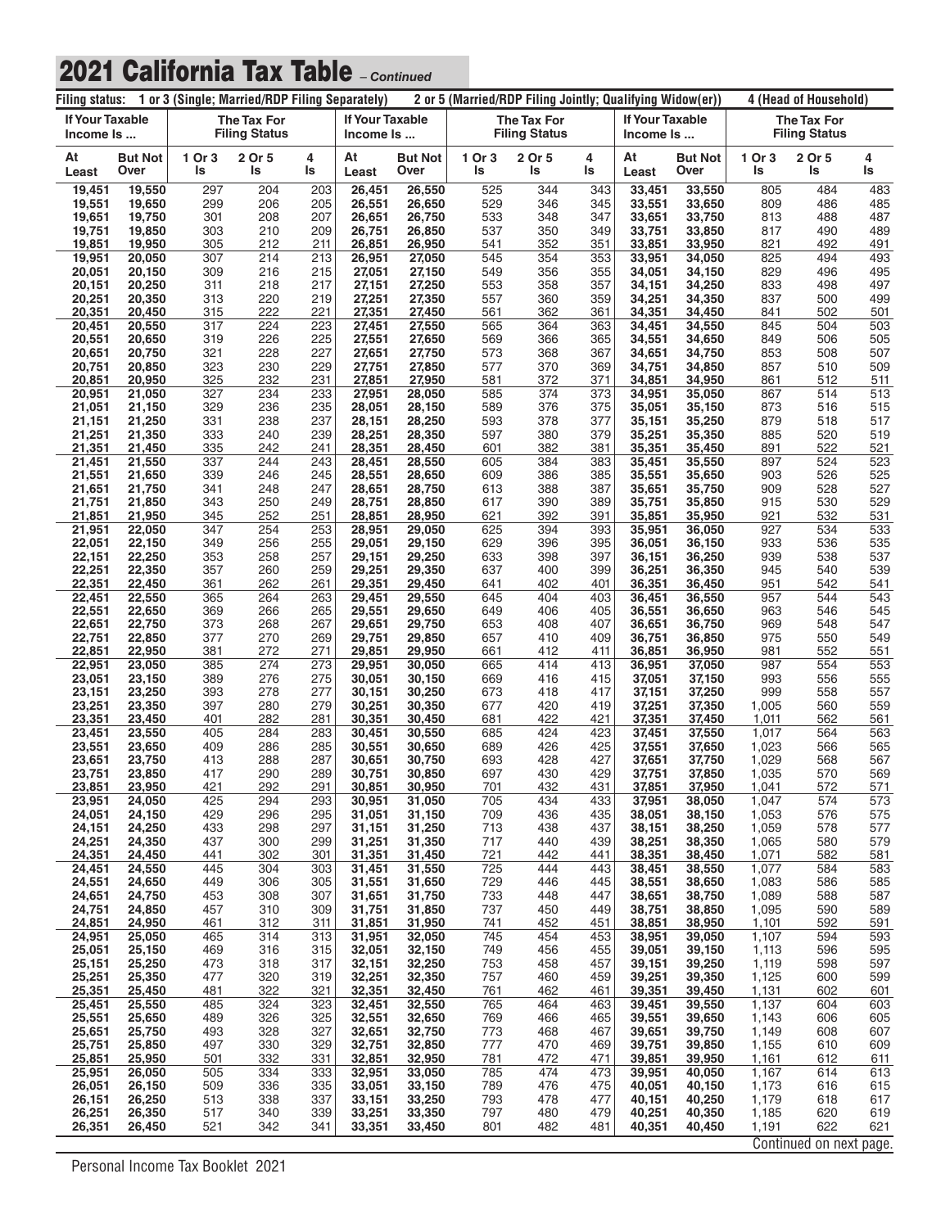| 1 or 3 (Single; Married/RDP Filing Separately)<br>Filing status: |                        |              |                                            |            |                                     | 2 or 5 (Married/RDP Filing Jointly; Qualifying Widow(er)) |              |                                            |            |                                     | 4 (Head of Household)  |                |                                     |                   |
|------------------------------------------------------------------|------------------------|--------------|--------------------------------------------|------------|-------------------------------------|-----------------------------------------------------------|--------------|--------------------------------------------|------------|-------------------------------------|------------------------|----------------|-------------------------------------|-------------------|
| <b>If Your Taxable</b><br>Income Is                              |                        |              | <b>The Tax For</b><br><b>Filing Status</b> |            | <b>If Your Taxable</b><br>Income Is |                                                           |              | <b>The Tax For</b><br><b>Filing Status</b> |            | <b>If Your Taxable</b><br>Income Is |                        |                | The Tax For<br><b>Filing Status</b> |                   |
| At<br>Least                                                      | <b>But Not</b><br>Over | 1 Or 3<br>ls | 2 Or 5<br>ls                               | 4<br>ls    | At<br>Least                         | <b>But Not</b><br>Over                                    | 1 Or 3<br>ls | 2 Or 5<br>ls                               | 4<br>ls    | At<br>Least                         | <b>But Not</b><br>Over | 1 Or 3<br>ls   | 2 Or 5<br>ls                        | 4<br>ls           |
| 19,451                                                           | 19,550                 | 297          | 204                                        | 203        | 26,451                              | 26,550                                                    | 525          | 344                                        | 343        | 33,451                              | 33,550                 | 805            | 484                                 | 483               |
| 19,551<br>19,651                                                 | 19.650<br>19,750       | 299<br>301   | 206<br>208                                 | 205<br>207 | 26,551<br>26,651                    | 26,650<br>26,750                                          | 529<br>533   | 346<br>348                                 | 345<br>347 | 33,551<br>33,651                    | 33,650<br>33,750       | 809<br>813     | 486<br>488                          | 485<br>487        |
| 19,751                                                           | 19,850                 | 303          | 210                                        | 209        | 26,751                              | 26,850                                                    | 537          | 350                                        | 349        | 33,751                              | 33,850                 | 817            | 490                                 | 489               |
| 19,851                                                           | 19,950                 | 305          | 212                                        | 211        | 26,851                              | 26,950                                                    | 541          | 352                                        | 351        | 33,851                              | 33,950                 | 821            | 492                                 | 491               |
| 19,951                                                           | 20,050                 | 307          | 214                                        | 213        | 26,951                              | 27,050                                                    | 545          | 354                                        | 353        | 33,951                              | 34,050                 | 825            | 494                                 | 493               |
| 20,051<br>20,151                                                 | 20,150<br>20,250       | 309<br>311   | 216<br>218                                 | 215<br>217 | 27,051<br>27,151                    | 27,150<br>27,250                                          | 549<br>553   | 356<br>358                                 | 355<br>357 | 34,051<br>34,151                    | 34,150<br>34,250       | 829<br>833     | 496<br>498                          | 495<br>497        |
| 20,251                                                           | 20,350                 | 313          | 220                                        | 219        | 27,251                              | 27,350                                                    | 557          | 360                                        | 359        | 34,251                              | 34,350                 | 837            | 500                                 | 499               |
| 20,351                                                           | 20,450                 | 315          | 222                                        | 221        | 27,351                              | 27,450                                                    | 561          | 362                                        | 361        | 34,351                              | 34,450                 | 841            | 502                                 | 501               |
| 20,451                                                           | 20,550                 | 317          | 224<br>226                                 | 223<br>225 | 27,451                              | 27,550                                                    | 565<br>569   | 364                                        | 363        | 34,451                              | 34,550                 | 845            | 504                                 | 503<br>505        |
| 20,551<br>20,651                                                 | 20,650<br>20,750       | 319<br>321   | 228                                        | 227        | 27,551<br>27,651                    | 27,650<br>27,750                                          | 573          | 366<br>368                                 | 365<br>367 | 34,551<br>34,651                    | 34,650<br>34,750       | 849<br>853     | 506<br>508                          | 507               |
| 20,751                                                           | 20,850                 | 323          | 230                                        | 229        | 27,751                              | 27,850                                                    | 577          | 370                                        | 369        | 34,751                              | 34,850                 | 857            | 510                                 | 509               |
| 20,851                                                           | 20,950                 | 325          | 232                                        | 231        | 27,851                              | 27,950                                                    | 581          | 372                                        | 371        | 34,851                              | 34,950                 | 861            | 512                                 | 511               |
| 20,951                                                           | 21,050<br>21,150       | 327<br>329   | 234<br>236                                 | 233<br>235 | 27,951                              | 28,050                                                    | 585<br>589   | 374<br>376                                 | 373        | 34,951                              | 35,050                 | 867<br>873     | 514<br>516                          | 513<br>515        |
| 21,051<br>21,151                                                 | 21,250                 | 331          | 238                                        | 237        | 28,051<br>28,151                    | 28,150<br>28,250                                          | 593          | 378                                        | 375<br>377 | 35,051<br>35,151                    | 35,150<br>35,250       | 879            | 518                                 | 517               |
| 21,251                                                           | 21,350                 | 333          | 240                                        | 239        | 28,251                              | 28,350                                                    | 597          | 380                                        | 379        | 35,251                              | 35,350                 | 885            | 520                                 | 519               |
| 21,351                                                           | 21,450                 | 335          | 242                                        | 241        | 28,351                              | 28,450                                                    | 601          | 382                                        | 381        | 35,351                              | 35,450                 | 891            | 522                                 | 521               |
| 21,451                                                           | 21,550<br>21,650       | 337<br>339   | 244<br>246                                 | 243<br>245 | 28.451                              | 28,550                                                    | 605<br>609   | 384<br>386                                 | 383        | 35,451                              | 35,550                 | 897<br>903     | 524<br>526                          | 523<br>525        |
| 21,551<br>21,651                                                 | 21,750                 | 341          | 248                                        | 247        | 28,551<br>28,651                    | 28,650<br>28,750                                          | 613          | 388                                        | 385<br>387 | 35,551<br>35,651                    | 35,650<br>35,750       | 909            | 528                                 | 527               |
| 21,751                                                           | 21,850                 | 343          | 250                                        | 249        | 28,751                              | 28,850                                                    | 617          | 390                                        | 389        | 35,751                              | 35,850                 | 915            | 530                                 | 529               |
| 21,851                                                           | 21,950                 | 345          | 252                                        | 251        | 28,851                              | 28,950                                                    | 621          | 392                                        | 391        | 35,851                              | 35,950                 | 921            | 532                                 | 531               |
| 21,951<br>22,051                                                 | 22,050<br>22,150       | 347<br>349   | 254<br>256                                 | 253<br>255 | 28,951<br>29,051                    | 29,050<br>29,150                                          | 625<br>629   | 394<br>396                                 | 393<br>395 | 35,951<br>36,051                    | 36,050<br>36,150       | 927<br>933     | 534<br>536                          | 533<br>535        |
| 22,151                                                           | 22,250                 | 353          | 258                                        | 257        | 29,151                              | 29,250                                                    | 633          | 398                                        | 397        | 36,151                              | 36,250                 | 939            | 538                                 | 537               |
| 22,251                                                           | 22,350                 | 357          | 260                                        | 259        | 29,251                              | 29,350                                                    | 637          | 400                                        | 399        | 36,251                              | 36,350                 | 945            | 540                                 | 539               |
| 22,351                                                           | 22,450                 | 361          | 262                                        | 261        | 29,351                              | 29,450                                                    | 641          | 402                                        | 401        | 36,351                              | 36,450                 | 951            | 542                                 | 541               |
| 22,451<br>22,551                                                 | 22,550<br>22,650       | 365<br>369   | 264<br>266                                 | 263<br>265 | 29,451<br>29,551                    | 29,550<br>29,650                                          | 645<br>649   | 404<br>406                                 | 403<br>405 | 36,451<br>36,551                    | 36,550<br>36,650       | 957<br>963     | 544<br>546                          | 543<br>545        |
| 22,651                                                           | 22,750                 | 373          | 268                                        | 267        | 29,651                              | 29,750                                                    | 653          | 408                                        | 407        | 36,651                              | 36,750                 | 969            | 548                                 | 547               |
| 22,751                                                           | 22,850                 | 377          | 270                                        | 269        | 29,751                              | 29,850                                                    | 657          | 410                                        | 409        | 36,751                              | 36,850                 | 975            | 550                                 | 549               |
| 22,851                                                           | 22,950                 | 381          | 272                                        | 271        | 29,851                              | 29,950                                                    | 661          | 412                                        | 411        | 36,851                              | 36,950                 | 981            | 552                                 | 551               |
| 22,951<br>23,051                                                 | 23,050<br>23,150       | 385<br>389   | 274<br>276                                 | 273<br>275 | 29,951<br>30,051                    | 30,050<br>30,150                                          | 665<br>669   | 414<br>416                                 | 413<br>415 | 36,951<br>37,051                    | 37,050<br>37,150       | 987<br>993     | 554<br>556                          | 553<br>555        |
| 23,151                                                           | 23,250                 | 393          | 278                                        | 277        | 30.151                              | 30,250                                                    | 673          | 418                                        | 417        | 37,151                              | 37,250                 | 999            | 558                                 | 557               |
| 23,251                                                           | 23,350                 | 397          | 280                                        | 279        | 30,251                              | 30,350                                                    | 677          | 420                                        | 419        | 37,251                              | 37,350                 | 1,005          | 560                                 | 559               |
| 23,351<br>23,451                                                 | 23,450<br>23,550       | 401<br>405   | 282<br>284                                 | 281<br>283 | 30,351                              | 30,450<br>30,550                                          | 681<br>685   | 422<br>424                                 | 421<br>423 | 37,351<br>37,451                    | 37,450                 | 1,011<br>1,017 | 562<br>564                          | 561<br>563        |
| 23,551                                                           | 23,650                 | 409          | 286                                        | 285        | 30,451<br>30,551                    | 30,650                                                    | 689          | 426                                        | 425        | 37,551                              | 37,550<br>37,650       | 1,023          | 566                                 | 565               |
| 23,651                                                           | 23,750                 | 413          | 288                                        | 287        | 30,651                              | 30,750                                                    | 693          | 428                                        | 427        | 37,651                              | 37,750                 | 1,029          | 568                                 | 567               |
| 23,751                                                           | 23,850                 | 417          | 290                                        | 289        | 30,751                              | 30,850                                                    | 697          | 430                                        | 429        | 37,751                              | 37,850                 | 1,035          | 570                                 | 569               |
| 23,851<br>23,951                                                 | 23,950<br>24,050       | 421<br>425   | 292<br>294                                 | 291<br>293 | 30,851<br>30,951                    | 30,950<br>31,050                                          | 701<br>705   | 432<br>434                                 | 431<br>433 | 37,851<br>37,951                    | 37,950<br>38,050       | 1,041<br>1,047 | 572<br>574                          | 571<br>573        |
| 24,051                                                           | 24,150                 | 429          | 296                                        | 295        | 31,051                              | 31,150                                                    | 709          | 436                                        | 435        | 38,051                              | 38,150                 | 1,053          | 576                                 | 575               |
| 24,151                                                           | 24,250                 | 433          | 298                                        | 297        | 31,151                              | 31,250                                                    | 713          | 438                                        | 437        | 38,151                              | 38,250                 | 1,059          | 578                                 | 577               |
| 24,251                                                           | 24,350                 | 437          | 300                                        | 299        | 31,251                              | 31,350                                                    | 717          | 440                                        | 439        | 38,251                              | 38,350                 | 1,065          | 580                                 | 579               |
| 24,351<br>24,451                                                 | 24,450<br>24,550       | 441<br>445   | 302<br>304                                 | 301<br>303 | 31,351<br>31,451                    | 31,450<br>31,550                                          | 721<br>725   | 442<br>444                                 | 441<br>443 | 38,351<br>38,451                    | 38,450<br>38,550       | 1,071<br>1,077 | 582<br>584                          | <u>581</u><br>583 |
| 24,551                                                           | 24,650                 | 449          | 306                                        | 305        | 31,551                              | 31,650                                                    | 729          | 446                                        | 445        | 38,551                              | 38,650                 | 1,083          | 586                                 | 585               |
| 24,651                                                           | 24,750                 | 453          | 308                                        | 307        | 31,651                              | 31,750                                                    | 733          | 448                                        | 447        | 38,651                              | 38,750                 | 1,089          | 588                                 | 587               |
| 24,751<br>24,851                                                 | 24,850<br>24,950       | 457<br>461   | 310<br>312                                 | 309<br>311 | 31,751<br>31,851                    | 31,850<br>31,950                                          | 737<br>741   | 450<br>452                                 | 449<br>451 | 38,751<br>38,851                    | 38,850<br>38,950       | 1,095<br>1,101 | 590<br>592                          | 589<br>591        |
| 24,951                                                           | 25,050                 | 465          | 314                                        | 313        | 31,951                              | 32,050                                                    | 745          | 454                                        | 453        | 38,951                              | 39,050                 | 1,107          | 594                                 | 593               |
| 25,051                                                           | 25,150                 | 469          | 316                                        | 315        | 32,051                              | 32,150                                                    | 749          | 456                                        | 455        | 39,051                              | 39,150                 | 1,113          | 596                                 | 595               |
| 25,151                                                           | 25,250                 | 473          | 318                                        | 317        | 32,151                              | 32,250                                                    | 753          | 458                                        | 457        | 39,151                              | 39,250                 | 1,119          | 598                                 | 597               |
| 25,251<br>25,351                                                 | 25,350<br>25,450       | 477<br>481   | 320<br>322                                 | 319<br>321 | 32,251<br>32,351                    | 32,350<br>32,450                                          | 757<br>761   | 460<br>462                                 | 459<br>461 | 39,251<br>39,351                    | 39,350<br>39,450       | 1,125<br>1,131 | 600<br>602                          | 599<br>601        |
| 25,451                                                           | 25,550                 | 485          | 324                                        | 323        | 32,451                              | 32,550                                                    | 765          | 464                                        | 463        | 39,451                              | 39,550                 | 1,137          | 604                                 | 603               |
| 25,551                                                           | 25,650                 | 489          | 326                                        | 325        | 32,551                              | 32,650                                                    | 769          | 466                                        | 465        | 39,551                              | 39,650                 | 1,143          | 606                                 | 605               |
| 25,651                                                           | 25,750                 | 493          | 328                                        | 327        | 32,651                              | 32,750                                                    | 773          | 468                                        | 467        | 39,651                              | 39,750                 | 1,149          | 608                                 | 607               |
| 25,751<br>25,851                                                 | 25,850<br>25,950       | 497<br>501   | 330<br>332                                 | 329<br>331 | 32,751<br>32,851                    | 32,850<br>32,950                                          | 777<br>781   | 470<br>472                                 | 469<br>471 | 39,751<br>39,851                    | 39,850<br>39,950       | 1,155<br>1,161 | 610<br>612                          | 609<br>611        |
| 25,951                                                           | 26,050                 | 505          | 334                                        | 333        | 32,951                              | 33,050                                                    | 785          | 474                                        | 473        | 39,951                              | 40,050                 | 1,167          | 614                                 | 613               |
| 26,051                                                           | 26,150                 | 509          | 336                                        | 335        | 33,051                              | 33,150                                                    | 789          | 476                                        | 475        | 40,051                              | 40,150                 | 1,173          | 616                                 | 615               |
| 26,151<br>26,251                                                 | 26,250<br>26,350       | 513<br>517   | 338<br>340                                 | 337<br>339 | 33,151<br>33,251                    | 33,250<br>33,350                                          | 793<br>797   | 478<br>480                                 | 477<br>479 | 40,151<br>40,251                    | 40,250<br>40,350       | 1,179<br>1,185 | 618<br>620                          | 617<br>619        |
| 26,351                                                           | 26,450                 | 521          | 342                                        | 341        | 33,351                              | 33,450                                                    | 801          | 482                                        | 481        | 40,351                              | 40,450                 | 1,191          | 622                                 | 621               |
|                                                                  |                        |              |                                            |            |                                     |                                                           |              |                                            |            |                                     |                        |                | Continued on next page.             |                   |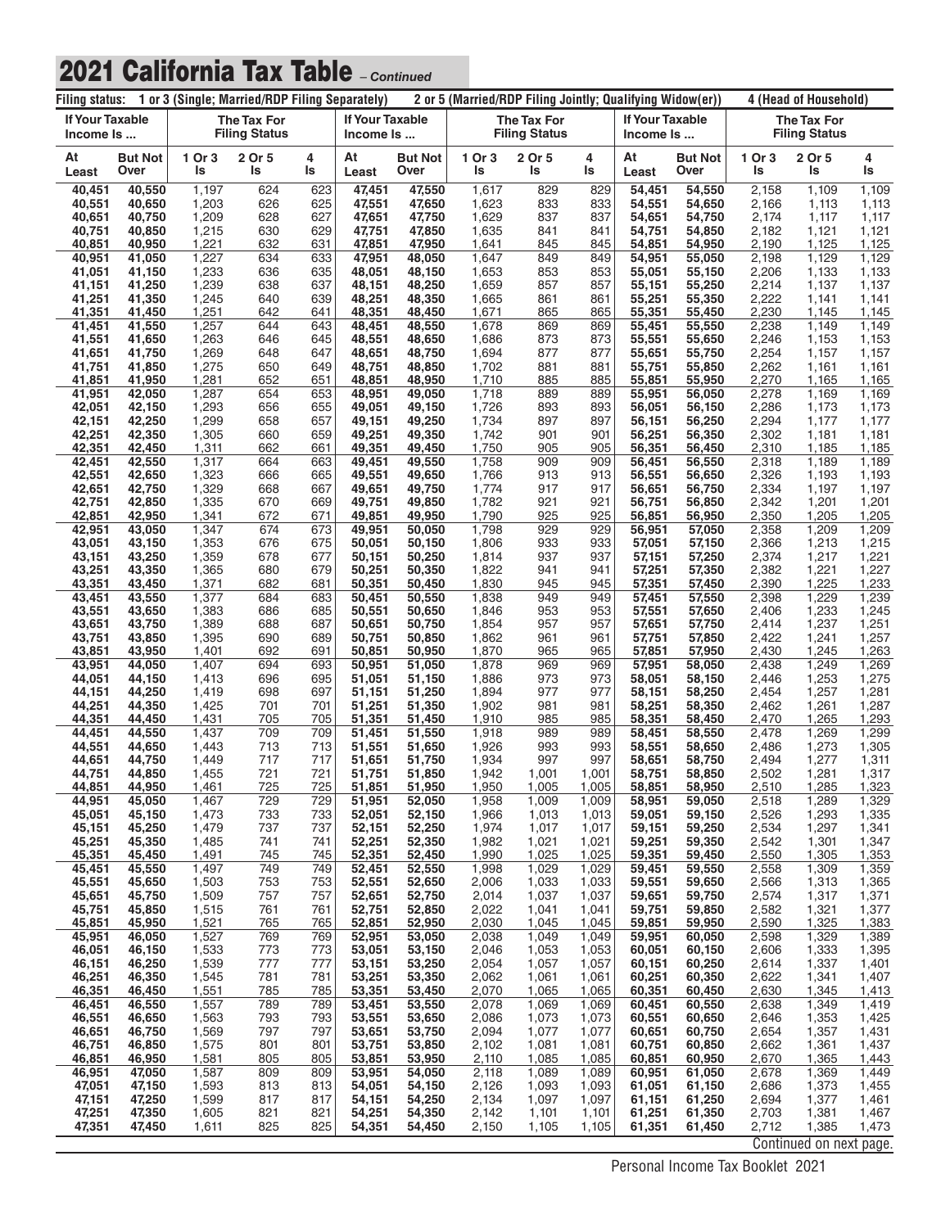| Filing status: 1 or 3 (Single; Married/RDP Filing Separately) |                        |                |                                            |            |                                     | 2 or 5 (Married/RDP Filing Jointly; Qualifying Widow(er)) |                |                                            |                |                              |                        | 4 (Head of Household) |                                            |                |  |
|---------------------------------------------------------------|------------------------|----------------|--------------------------------------------|------------|-------------------------------------|-----------------------------------------------------------|----------------|--------------------------------------------|----------------|------------------------------|------------------------|-----------------------|--------------------------------------------|----------------|--|
| <b>If Your Taxable</b><br>Income Is                           |                        |                | <b>The Tax For</b><br><b>Filing Status</b> |            | <b>If Your Taxable</b><br>Income Is |                                                           |                | <b>The Tax For</b><br><b>Filing Status</b> |                | If Your Taxable<br>Income Is |                        |                       | <b>The Tax For</b><br><b>Filing Status</b> |                |  |
| At<br>Least                                                   | <b>But Not</b><br>Over | 1 Or 3<br>ls   | 2 Or 5<br>ls                               | 4<br>ls    | At<br>Least                         | <b>But Not</b><br>Over                                    | 1 Or 3<br>ls   | 2 Or 5<br>ls                               | 4<br>ls        | At<br>Least                  | <b>But Not</b><br>Over | 1 Or 3<br>ls          | 2 Or 5<br>ls                               | 4<br>ls        |  |
| 40,451<br>40,551                                              | 40,550<br>40.650       | 1,197<br>1,203 | 624<br>626                                 | 623<br>625 | 47,451                              | 47,550                                                    | 1,617          | 829<br>833                                 | 829<br>833     | 54,451<br>54,551             | 54,550                 | 2,158<br>2,166        | 1,109                                      | 1,109<br>1,113 |  |
| 40,651                                                        | 40,750                 | 1,209          | 628                                        | 627        | 47,551<br>47,651                    | 47,650<br>47,750                                          | 1,623<br>1,629 | 837                                        | 837            | 54,651                       | 54,650<br>54,750       | 2,174                 | 1,113<br>1,117                             | 1,117          |  |
| 40,751                                                        | 40,850                 | 1,215          | 630                                        | 629        | 47,751                              | 47,850                                                    | 1,635          | 841                                        | 841            | 54,751                       | 54,850                 | 2,182                 | 1,121                                      | 1,121          |  |
| 40,851<br>40,951                                              | 40,950<br>41,050       | 1,221<br>1,227 | 632<br>634                                 | 631<br>633 | 47,851<br>47,951                    | 47,950<br>48,050                                          | 1,641<br>1,647 | 845<br>849                                 | 845<br>849     | 54,851<br>54,951             | 54,950<br>55,050       | 2,190<br>2,198        | 1,125<br>1,129                             | 1,125<br>1,129 |  |
| 41,051                                                        | 41,150                 | 1,233          | 636                                        | 635        | 48,051                              | 48,150                                                    | 1,653          | 853                                        | 853            | 55,051                       | 55,150                 | 2,206                 | 1,133                                      | 1,133          |  |
| 41,151<br>41,251                                              | 41,250<br>41,350       | 1,239<br>1,245 | 638<br>640                                 | 637<br>639 | 48,151<br>48,251                    | 48,250<br>48,350                                          | 1,659<br>1,665 | 857<br>861                                 | 857<br>861     | 55,151<br>55,251             | 55,250<br>55,350       | 2,214<br>2,222        | 1,137<br>1,141                             | 1,137<br>1,141 |  |
| 41,351                                                        | 41,450                 | 1,251          | 642                                        | 641        | 48,351                              | 48,450                                                    | 1,671          | 865                                        | 865            | 55,351                       | 55,450                 | 2,230                 | 1,145                                      | 1,145          |  |
| 41,451<br>41,551                                              | 41,550<br>41,650       | 1,257<br>1,263 | 644<br>646                                 | 643<br>645 | 48,451<br>48,551                    | 48,550<br>48,650                                          | 1,678<br>1,686 | 869<br>873                                 | 869<br>873     | 55,451<br>55,551             | 55,550<br>55,650       | 2,238<br>2,246        | 1,149<br>1,153                             | 1,149<br>1,153 |  |
| 41,651                                                        | 41,750                 | 1,269          | 648                                        | 647        | 48,651                              | 48,750                                                    | 1,694          | 877                                        | 877            | 55,651                       | 55,750                 | 2,254                 | 1,157                                      | 1,157          |  |
| 41,751<br>41,851                                              | 41,850<br>41,950       | 1,275<br>1,281 | 650<br>652                                 | 649<br>651 | 48,751<br>48,851                    | 48,850<br>48,950                                          | 1,702<br>1,710 | 881<br>885                                 | 881<br>885     | 55,751<br>55,851             | 55,850<br>55,950       | 2,262<br>2,270        | 1,161<br>1,165                             | 1,161<br>1,165 |  |
| 41,951                                                        | 42,050                 | 1,287          | 654                                        | 653        | 48,951                              | 49,050                                                    | 1,718          | 889                                        | 889            | 55,951                       | 56.050                 | 2,278                 | 1,169                                      | 1,169          |  |
| 42,051<br>42,151                                              | 42,150<br>42,250       | 1,293<br>1,299 | 656<br>658                                 | 655<br>657 | 49,051<br>49,151                    | 49,150<br>49,250                                          | 1,726<br>1,734 | 893<br>897                                 | 893<br>897     | 56,051<br>56,151             | 56,150<br>56,250       | 2,286<br>2,294        | 1,173<br>1,177                             | 1,173<br>1,177 |  |
| 42,251                                                        | 42,350                 | 1,305          | 660                                        | 659        | 49,251                              | 49,350                                                    | 1,742          | 901                                        | 901            | 56,251                       | 56,350                 | 2,302                 | 1,181                                      | 1,181          |  |
| 42,351<br>42,451                                              | 42,450<br>42.550       | 1,311<br>1,317 | 662<br>664                                 | 661<br>663 | 49,351<br>49,451                    | 49,450<br>49,550                                          | 1,750<br>1,758 | 905<br>909                                 | 905<br>909     | 56,351<br>56,451             | 56,450<br>56,550       | 2,310<br>2,318        | 1,185<br>1,189                             | 1,185<br>1,189 |  |
| 42,551                                                        | 42,650                 | 1,323          | 666                                        | 665        | 49,551                              | 49,650                                                    | 1,766          | 913                                        | 913            | 56,551                       | 56,650                 | 2,326                 | 1,193                                      | 1,193          |  |
| 42,651<br>42,751                                              | 42,750<br>42,850       | 1,329<br>1,335 | 668<br>670                                 | 667<br>669 | 49,651<br>49,751                    | 49,750<br>49,850                                          | 1,774<br>1,782 | 917<br>921                                 | 917<br>921     | 56,651<br>56,751             | 56,750<br>56,850       | 2,334<br>2,342        | 1,197<br>1,201                             | 1,197<br>1,201 |  |
| 42,851                                                        | 42,950                 | 1,341          | 672                                        | 671        | 49,851                              | 49,950                                                    | 1,790          | 925                                        | 925            | 56,851                       | 56.950                 | 2,350                 | 1,205                                      | 1,205          |  |
| 42,951<br>43,051                                              | 43,050<br>43,150       | 1,347<br>1,353 | 674<br>676                                 | 673<br>675 | 49,951<br>50,051                    | 50,050<br>50,150                                          | 1,798<br>1,806 | 929<br>933                                 | 929<br>933     | 56,951<br>57,051             | 57,050<br>57,150       | 2,358<br>2,366        | 1,209<br>1,213                             | 1,209<br>1,215 |  |
| 43,151                                                        | 43,250                 | 1,359          | 678                                        | 677        | 50,151                              | 50,250                                                    | 1,814          | 937                                        | 937            | 57,151                       | 57,250                 | 2,374                 | 1,217                                      | 1,221          |  |
| 43,251<br>43,351                                              | 43,350<br>43,450       | 1,365<br>1,371 | 680<br>682                                 | 679<br>681 | 50,251<br>50,351                    | 50,350<br>50,450                                          | 1,822<br>1,830 | 941<br>945                                 | 941<br>945     | 57,251<br>57,351             | 57,350<br>57,450       | 2,382<br>2,390        | 1,221<br>1,225                             | 1,227<br>1,233 |  |
| 43,451                                                        | 43,550                 | 1,377          | 684                                        | 683        | 50,451                              | 50,550                                                    | 1,838          | 949                                        | 949            | 57,451                       | 57,550                 | 2,398                 | 1,229                                      | 1,239          |  |
| 43,551<br>43,651                                              | 43,650<br>43,750       | 1,383<br>1,389 | 686<br>688                                 | 685<br>687 | 50,551<br>50,651                    | 50,650<br>50,750                                          | 1,846<br>1,854 | 953<br>957                                 | 953<br>957     | 57,551<br>57,651             | 57,650<br>57,750       | 2,406<br>2,414        | 1,233<br>1,237                             | 1,245<br>1,251 |  |
| 43,751                                                        | 43,850                 | 1,395          | 690                                        | 689        | 50,751                              | 50,850                                                    | 1,862          | 961                                        | 961            | 57,751                       | 57,850                 | 2,422                 | 1,241                                      | 1,257          |  |
| 43,851                                                        | 43,950<br>44,050       | 1,401<br>1,407 | 692<br>694                                 | 691<br>693 | 50,851                              | 50,950                                                    | 1,870<br>1,878 | 965<br>969                                 | 965<br>969     | 57,851                       | 57,950                 | 2,430<br>2,438        | 1,245<br>1,249                             | 1,263<br>1,269 |  |
| 43,951<br>44,051                                              | 44,150                 | 1,413          | 696                                        | 695        | 50,951<br>51,051                    | 51,050<br>51,150                                          | 1,886          | 973                                        | 973            | 57,951<br>58,051             | 58,050<br>58,150       | 2,446                 | 1,253                                      | 1,275          |  |
| 44,151<br>44,251                                              | 44,250<br>44,350       | 1,419<br>1,425 | 698<br>701                                 | 697<br>701 | 51,151<br>51,251                    | 51,250<br>51,350                                          | 1,894<br>1,902 | 977<br>981                                 | 977<br>981     | 58,151<br>58,251             | 58,250<br>58,350       | 2,454<br>2,462        | 1,257<br>1,261                             | 1,281<br>1,287 |  |
| 44,351                                                        | 44,450                 | 1,431          | 705                                        | 705        | 51,351                              | 51,450                                                    | 1,910          | 985                                        | 985            | 58,351                       | 58,450                 | 2,470                 | 1,265                                      | 1,293          |  |
| 44,451                                                        | 44,550                 | 1,437          | 709                                        | 709        | 51,451                              | 51,550                                                    | 1,918          | 989                                        | 989            | 58,451                       | 58,550                 | 2,478                 | 1,269                                      | 1,299          |  |
| 44,551<br>44,651                                              | 44,650<br>44,750       | 1,443<br>1,449 | 713<br>717                                 | 713<br>717 | 51,551<br>51,651                    | 51,650<br>51,750                                          | 1,926<br>1,934 | 993<br>997                                 | 993<br>997     | 58,551<br>58,651             | 58,650<br>58,750       | 2,486<br>2,494        | 1,273<br>1,277                             | 1,305<br>1,311 |  |
| 44,751                                                        | 44,850                 | 1,455          | 721                                        | 721        | 51,751                              | 51,850                                                    | 1,942          | 1,001                                      | 1,001          | 58,751                       | 58,850                 | 2,502                 | 1,281                                      | 1,317          |  |
| 44,851<br>44,951                                              | 44,950<br>45,050       | 1,461<br>1,467 | 725<br>729                                 | 725<br>729 | 51,851<br>51,951                    | 51,950<br>52,050                                          | 1,950<br>1,958 | 1,005<br>1,009                             | 1,005<br>1,009 | 58,851<br>58,951             | 58,950<br>59,050       | <u>2,510</u><br>2,518 | 1,285<br>1,289                             | 1,323<br>1,329 |  |
| 45,051                                                        | 45,150                 | 1,473          | 733                                        | 733        | 52,051                              | 52,150                                                    | 1,966          | 1,013                                      | 1,013          | 59,051                       | 59,150                 | 2,526                 | 1,293                                      | 1,335          |  |
| 45,151<br>45,251                                              | 45,250<br>45,350       | 1,479<br>1,485 | 737<br>741                                 | 737<br>741 | 52,151<br>52,251                    | 52,250<br>52,350                                          | 1,974<br>1,982 | 1,017<br>1,021                             | 1,017<br>1,021 | 59,151<br>59,251             | 59,250<br>59,350       | 2,534<br>2,542        | 1,297<br>1,301                             | 1,341<br>1,347 |  |
| 45,351                                                        | 45,450                 | 1,491          | 745                                        | 745        | 52,351                              | 52,450                                                    | 1,990          | 1,025                                      | 1,025          | 59,351                       | 59,450                 | 2,550                 | 1,305                                      | 1,353          |  |
| 45,451<br>45,551                                              | 45,550<br>45,650       | 1,497<br>1,503 | 749<br>753                                 | 749<br>753 | 52,451<br>52,551                    | 52,550<br>52,650                                          | 1,998<br>2,006 | 1,029<br>1,033                             | 1,029<br>1,033 | 59,451<br>59,551             | 59,550<br>59,650       | 2,558<br>2,566        | 1,309<br>1,313                             | 1,359<br>1,365 |  |
| 45,651                                                        | 45,750                 | 1,509          | 757                                        | 757        | 52,651                              | 52,750                                                    | 2,014          | 1,037                                      | 1,037          | 59,651                       | 59,750                 | 2,574                 | 1,317                                      | 1,371          |  |
| 45,751<br>45,851                                              | 45,850<br>45,950       | 1,515<br>1,521 | 761<br>765                                 | 761<br>765 | 52,751<br>52,851                    | 52,850<br>52,950                                          | 2,022<br>2,030 | 1,041<br>1,045                             | 1,041<br>1,045 | 59,751<br>59,851             | 59,850<br>59,950       | 2,582<br>2,590        | 1,321<br>1,325                             | 1,377<br>1,383 |  |
| 45,951                                                        | 46,050                 | 1,527          | 769                                        | 769        | 52,951                              | 53,050                                                    | 2,038          | 1,049                                      | 1,049          | 59,951                       | 60,050                 | 2,598                 | 1,329                                      | 1,389          |  |
| 46,051<br>46,151                                              | 46,150<br>46,250       | 1,533<br>1,539 | 773<br>777                                 | 773<br>777 | 53,051<br>53,151                    | 53,150<br>53,250                                          | 2,046<br>2,054 | 1,053<br>1,057                             | 1,053<br>1,057 | 60,051<br>60,151             | 60,150<br>60,250       | 2,606<br>2,614        | 1,333<br>1,337                             | 1,395<br>1,401 |  |
| 46,251                                                        | 46,350                 | 1,545          | 781                                        | 781        | 53,251                              | 53,350                                                    | 2,062          | 1,061                                      | 1,061          | 60,251                       | 60,350                 | 2,622                 | 1,341                                      | 1,407          |  |
| 46,351<br>46,451                                              | 46,450<br>46,550       | 1,551<br>1,557 | 785<br>789                                 | 785<br>789 | 53,351<br>53,451                    | 53,450<br>53,550                                          | 2,070<br>2,078 | 1,065<br>1,069                             | 1,065<br>1,069 | 60,351<br>60,451             | 60,450<br>60,550       | 2,630<br>2,638        | 1,345<br>1,349                             | 1,413<br>1,419 |  |
| 46,551                                                        | 46,650                 | 1,563          | 793                                        | 793        | 53,551                              | 53,650                                                    | 2,086          | 1,073                                      | 1,073          | 60,551                       | 60,650                 | 2,646                 | 1,353                                      | 1,425          |  |
| 46,651<br>46,751                                              | 46,750<br>46,850       | 1,569<br>1,575 | 797<br>801                                 | 797<br>801 | 53,651<br>53,751                    | 53,750<br>53,850                                          | 2,094<br>2,102 | 1,077<br>1,081                             | 1,077<br>1,081 | 60,651<br>60,751             | 60,750<br>60,850       | 2,654<br>2,662        | 1,357<br>1,361                             | 1,431<br>1,437 |  |
| 46,851                                                        | 46,950                 | 1,581          | 805                                        | 805        | 53,851                              | 53,950                                                    | 2,110          | 1,085                                      | 1,085          | 60,851                       | 60,950                 | 2,670                 | 1,365                                      | 1,443          |  |
| 46,951<br>47,051                                              | 47,050<br>47,150       | 1,587<br>1,593 | 809<br>813                                 | 809<br>813 | 53,951<br>54,051                    | 54,050<br>54,150                                          | 2,118<br>2,126 | 1,089<br>1,093                             | 1,089<br>1,093 | 60,951<br>61,051             | 61,050<br>61,150       | 2,678<br>2,686        | 1,369<br>1,373                             | 1,449<br>1,455 |  |
| 47,151                                                        | 47,250                 | 1,599          | 817                                        | 817        | 54,151                              | 54,250                                                    | 2,134          | 1,097                                      | 1,097          | 61,151                       | 61,250                 | 2,694                 | 1,377                                      | 1,461          |  |
| 47,251<br>47,351                                              | 47,350<br>47,450       | 1,605<br>1,611 | 821<br>825                                 | 821<br>825 | 54,251<br>54,351                    | 54,350<br>54,450                                          | 2,142<br>2,150 | 1,101<br>1,105                             | 1,101<br>1,105 | 61,251<br>61,351             | 61,350<br>61,450       | 2,703<br>2,712        | 1,381<br>1,385                             | 1,467<br>1,473 |  |
|                                                               |                        |                |                                            |            |                                     |                                                           |                |                                            |                |                              |                        |                       | Continued on next page.                    |                |  |

Personal Income Tax Booklet 2021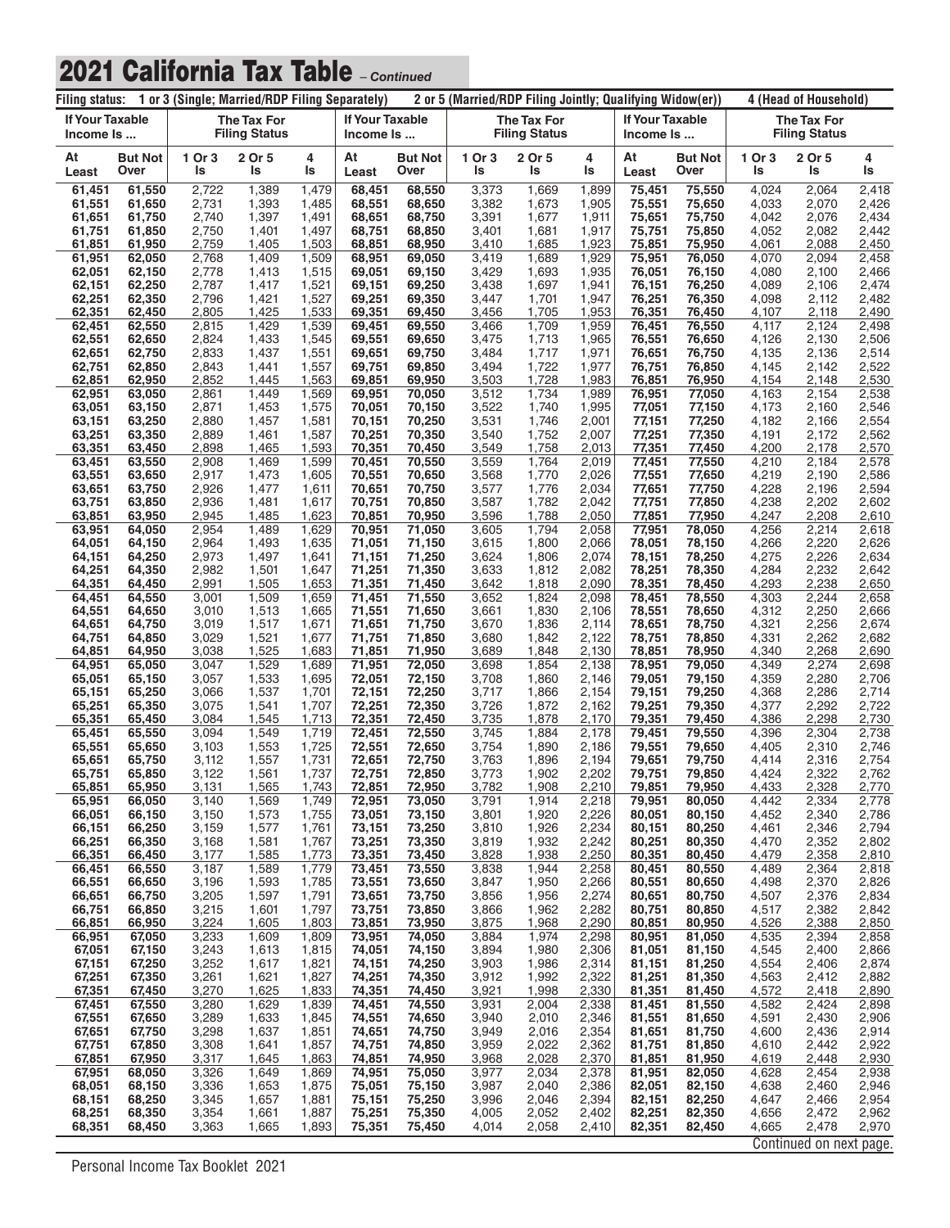| Filing status: 1 or 3 (Single; Married/RDP Filing Separately) |                        |                |                                            |                |                              | 2 or 5 (Married/RDP Filing Jointly; Qualifying Widow(er)) |                |                                     |                |                                     | 4 (Head of Household)  |                                            |                         |                |
|---------------------------------------------------------------|------------------------|----------------|--------------------------------------------|----------------|------------------------------|-----------------------------------------------------------|----------------|-------------------------------------|----------------|-------------------------------------|------------------------|--------------------------------------------|-------------------------|----------------|
| If Your Taxable<br>Income Is                                  |                        |                | <b>The Tax For</b><br><b>Filing Status</b> |                | If Your Taxable<br>Income Is |                                                           |                | The Tax For<br><b>Filing Status</b> |                | <b>If Your Taxable</b><br>Income Is |                        | <b>The Tax For</b><br><b>Filing Status</b> |                         |                |
| At<br>Least                                                   | <b>But Not</b><br>Over | 1 Or 3<br>ls   | 2 Or 5<br>ls                               | 4<br>ls        | At<br>Least                  | <b>But Not</b><br>Over                                    | 1 Or 3<br>ls   | 2 Or 5<br>ls                        | 4<br>ls        | At<br>Least                         | <b>But Not</b><br>Over | 1 Or 3<br>ls                               | 2 Or 5<br>ls            | 4<br>ls        |
| 61,451                                                        | 61,550                 | 2,722          | 1,389                                      | 1,479          | 68,451                       | 68.550                                                    | 3,373          | 1,669                               | 1,899          | 75,451                              | 75,550                 | 4,024                                      | 2,064                   | 2,418          |
| 61,551<br>61,651                                              | 61,650<br>61,750       | 2,731<br>2,740 | 1,393<br>1,397                             | 1,485<br>1,491 | 68,551<br>68,651             | 68,650<br>68,750                                          | 3,382<br>3,391 | 1,673<br>1,677                      | 1,905<br>1,911 | 75,551<br>75,651                    | 75,650<br>75,750       | 4,033<br>4,042                             | 2,070<br>2,076          | 2,426<br>2,434 |
| 61,751                                                        | 61,850                 | 2,750          | 1,401                                      | 1,497          | 68,751                       | 68,850                                                    | 3,401          | 1,681                               | 1,917          | 75,751                              | 75,850                 | 4,052                                      | 2,082                   | 2,442          |
| 61,851<br>61,951                                              | 61,950<br>62,050       | 2,759<br>2,768 | 1,405<br>1,409                             | 1,503<br>1,509 | 68,851<br>68,951             | 68,950<br>69,050                                          | 3,410<br>3,419 | 1,685<br>1,689                      | 1,923<br>1,929 | 75,851<br>75,951                    | 75,950<br>76,050       | 4,061<br>4,070                             | 2,088<br>2,094          | 2,450<br>2,458 |
| 62,051                                                        | 62,150                 | 2,778          | 1,413                                      | 1,515          | 69,051                       | 69,150                                                    | 3,429          | 1,693                               | 1,935          | 76,051                              | 76,150                 | 4,080                                      | 2,100                   | 2,466          |
| 62,151                                                        | 62,250                 | 2,787          | 1,417                                      | 1,521          | 69,151                       | 69,250                                                    | 3,438          | 1,697<br>1,701                      | 1,941          | 76,151<br>76,251                    | 76,250                 | 4,089<br>4,098                             | 2,106                   | 2,474          |
| 62,251<br>62,351                                              | 62,350<br>62,450       | 2,796<br>2,805 | 1,421<br>1,425                             | 1,527<br>1,533 | 69,251<br>69,351             | 69,350<br>69,450                                          | 3,447<br>3,456 | 1,705                               | 1,947<br>1,953 | 76,351                              | 76,350<br>76,450       | 4,107                                      | 2,112<br>2,118          | 2,482<br>2,490 |
| 62,451                                                        | 62,550                 | 2,815          | 1,429                                      | 1,539          | 69,451                       | 69,550                                                    | 3,466          | 1,709                               | 1,959          | 76,451                              | 76,550                 | 4,117                                      | 2,124                   | 2,498          |
| 62,551<br>62,651                                              | 62,650<br>62,750       | 2,824<br>2,833 | 1,433<br>1,437                             | 1,545<br>1,551 | 69,551<br>69,651             | 69,650<br>69,750                                          | 3,475<br>3,484 | 1,713<br>1,717                      | 1,965<br>1,971 | 76,551<br>76,651                    | 76,650<br>76,750       | 4,126<br>4,135                             | 2,130<br>2,136          | 2,506<br>2,514 |
| 62,751                                                        | 62,850                 | 2,843          | 1,441                                      | 1,557          | 69,751                       | 69,850                                                    | 3,494          | 1,722                               | 1,977          | 76,751                              | 76,850                 | 4,145                                      | 2,142                   | 2,522          |
| 62,851                                                        | 62,950<br>63,050       | 2,852<br>2,861 | 1,445<br>1,449                             | 1,563<br>1,569 | 69,851<br>69,951             | 69,950<br>70,050                                          | 3,503<br>3,512 | 1,728<br>1,734                      | 1,983<br>1,989 | 76,851<br>76,951                    | 76,950<br>77,050       | 4,154<br>4,163                             | 2,148<br>2,154          | 2,530<br>2,538 |
| 62,951<br>63,051                                              | 63,150                 | 2,871          | 1,453                                      | 1,575          | 70,051                       | 70,150                                                    | 3,522          | 1,740                               | 1,995          | 77,051                              | 77,150                 | 4,173                                      | 2,160                   | 2,546          |
| 63,151                                                        | 63,250                 | 2,880          | 1,457                                      | 1,581          | 70,151                       | 70,250                                                    | 3,531          | 1,746                               | 2,001          | 77,151                              | 77,250                 | 4,182                                      | 2,166                   | 2,554          |
| 63,251<br>63,351                                              | 63,350<br>63,450       | 2,889<br>2,898 | 1,461<br>1,465                             | 1,587<br>1,593 | 70,251<br>70,351             | 70,350<br>70,450                                          | 3,540<br>3,549 | 1,752<br>1,758                      | 2,007<br>2,013 | 77,251<br>77,351                    | 77,350<br>77,450       | 4,191<br>4,200                             | 2,172<br>2,178          | 2,562<br>2,570 |
| 63,451                                                        | 63,550                 | 2,908          | 1,469                                      | 1,599          | 70,451                       | 70,550                                                    | 3,559          | 1,764                               | 2,019          | 77,451                              | 77,550                 | 4,210                                      | 2,184                   | 2,578          |
| 63,551                                                        | 63,650                 | 2,917          | 1,473                                      | 1,605          | 70,551                       | 70,650                                                    | 3,568          | 1,770<br>1,776                      | 2,026<br>2,034 | 77,551                              | 77,650                 | 4,219<br>4,228                             | 2,190                   | 2,586          |
| 63,651<br>63,751                                              | 63,750<br>63,850       | 2,926<br>2,936 | 1,477<br>1,481                             | 1,611<br>1,617 | 70,651<br>70,751             | 70,750<br>70,850                                          | 3,577<br>3,587 | 1,782                               | 2,042          | 77,651<br>77,751                    | 77,750<br>77,850       | 4,238                                      | 2,196<br>2,202          | 2,594<br>2,602 |
| 63,851                                                        | 63,950                 | 2,945          | 1,485                                      | 1,623          | 70,851                       | 70,950                                                    | 3,596          | 1,788                               | 2,050          | 77,851                              | 77,950                 | 4,247                                      | 2,208                   | 2,610          |
| 63,951<br>64,051                                              | 64,050<br>64,150       | 2,954<br>2,964 | 1,489<br>1,493                             | 1,629<br>1,635 | 70,951<br>71,051             | 71,050<br>71,150                                          | 3,605<br>3,615 | 1,794<br>1,800                      | 2,058<br>2,066 | 77,951<br>78,051                    | 78,050<br>78,150       | 4,256<br>4,266                             | 2,214<br>2,220          | 2,618<br>2,626 |
| 64,151                                                        | 64,250                 | 2,973          | 1,497                                      | 1,641          | 71,151                       | 71,250                                                    | 3,624          | 1,806                               | 2,074          | 78,151                              | 78,250                 | 4,275                                      | 2,226                   | 2,634          |
| 64,251                                                        | 64,350                 | 2,982          | 1,501                                      | 1,647          | 71,251                       | 71,350                                                    | 3,633          | 1,812                               | 2,082          | 78,251                              | 78,350                 | 4,284                                      | 2,232                   | 2,642          |
| 64,351<br>64,451                                              | 64,450<br>64,550       | 2,991<br>3,001 | 1,505<br>1,509                             | 1,653<br>1,659 | 71,351<br>71,451             | 71,450<br>71,550                                          | 3,642<br>3,652 | 1,818<br>1,824                      | 2,090<br>2,098 | 78,351<br>78,451                    | 78,450<br>78,550       | 4,293<br>4,303                             | 2,238<br>2,244          | 2,650<br>2,658 |
| 64,551                                                        | 64,650                 | 3,010          | 1,513                                      | 1,665          | 71,551                       | 71,650                                                    | 3,661          | 1,830                               | 2,106          | 78,551                              | 78,650                 | 4,312                                      | 2,250                   | 2,666          |
| 64,651<br>64,751                                              | 64,750<br>64,850       | 3,019<br>3,029 | 1,517<br>1,521                             | 1,671<br>1,677 | 71,651<br>71,751             | 71,750<br>71,850                                          | 3,670<br>3,680 | 1,836<br>1,842                      | 2,114<br>2,122 | 78,651<br>78,751                    | 78,750<br>78,850       | 4,321<br>4,331                             | 2,256<br>2,262          | 2,674<br>2,682 |
| 64,851                                                        | 64,950                 | 3,038          | 1,525                                      | 1,683          | 71,851                       | 71,950                                                    | 3,689          | 1,848                               | 2,130          | 78,851                              | 78,950                 | 4,340                                      | 2,268                   | 2,690          |
| 64,951                                                        | 65,050                 | 3,047          | 1,529                                      | 1,689          | 71,951                       | 72,050                                                    | 3,698          | 1,854                               | 2,138          | 78,951                              | 79,050                 | 4,349                                      | 2,274                   | 2,698          |
| 65,051<br>65,151                                              | 65,150<br>65,250       | 3,057<br>3,066 | 1,533<br>1,537                             | 1,695<br>1,701 | 72,051<br>72,151             | 72,150<br>72,250                                          | 3,708<br>3,717 | 1,860<br>1,866                      | 2,146<br>2,154 | 79,051<br>79,151                    | 79,150<br>79,250       | 4,359<br>4,368                             | 2,280<br>2,286          | 2,706<br>2,714 |
| 65,251                                                        | 65,350                 | 3,075          | 1,541                                      | 1,707          | 72,251                       | 72,350                                                    | 3,726          | 1,872                               | 2,162          | 79,251                              | 79,350                 | 4,377                                      | 2,292                   | 2,722          |
| 65,351<br>65,451                                              | 65,450<br>65,550       | 3,084<br>3,094 | 1,545<br>1,549                             | 1,713<br>1,719 | 72,351<br>72,451             | 72,450<br>72,550                                          | 3,735<br>3,745 | 1,878<br>1,884                      | 2,170<br>2,178 | 79,351<br>79,451                    | 79,450<br>79,550       | 4,386<br>4,396                             | 2,298<br>2,304          | 2,730<br>2,738 |
| 65,551                                                        | 65,650                 | 3,103          | 1,553                                      | 1,725          | 72,551                       | 72,650                                                    | 3,754          | 1,890                               | 2,186          | 79,551                              | 79,650                 | 4,405                                      | 2,310                   | 2,746          |
| 65,651                                                        | 65,750                 | 3,112          | 1,557                                      | 1,731          | 72,651                       | 72,750                                                    | 3,763          | 1,896                               | 2,194          | 79,651                              | 79,750                 | 4,414                                      | 2,316                   | 2,754          |
| 65,751<br>65,851                                              | 65,850<br>65,950       | 3,122<br>3,131 | 1,561<br><u>1,565</u>                      | 1,737<br>1,743 | 72,751<br><u>72,851</u>      | 72,850<br><u>72,950</u>                                   | 3,773<br>3,782 | 1,902<br>1,908                      | 2,202<br>2,210 | 79,751<br>79,851                    | 79,850<br>79,950       | 4,424<br>4,433                             | 2,322<br>2,328          | 2,762<br>2,770 |
| 65,951                                                        | 66,050                 | 3,140          | 1,569                                      | 1,749          | 72,951                       | 73,050                                                    | 3,791          | 1,914                               | 2,218          | 79,951                              | 80,050                 | 4,442                                      | 2,334                   | 2,778          |
| 66,051<br>66,151                                              | 66,150<br>66,250       | 3,150<br>3,159 | 1,573<br>1,577                             | 1,755<br>1,761 | 73,051<br>73,151             | 73,150<br>73,250                                          | 3,801<br>3,810 | 1,920<br>1,926                      | 2,226<br>2,234 | 80,051<br>80,151                    | 80,150<br>80,250       | 4,452<br>4,461                             | 2,340<br>2,346          | 2,786<br>2,794 |
| 66,251                                                        | 66,350                 | 3,168          | 1,581                                      | 1,767          | 73,251                       | 73,350                                                    | 3,819          | 1,932                               | 2,242          | 80,251                              | 80,350                 | 4,470                                      | 2,352                   | 2,802          |
| 66,351                                                        | 66,450                 | 3,177          | 1,585                                      | 1,773          | 73,351                       | 73,450                                                    | 3,828          | 1,938                               | 2,250          | 80,351                              | 80,450                 | 4,479                                      | 2,358                   | 2,810          |
| 66,451<br>66,551                                              | 66,550<br>66,650       | 3,187<br>3,196 | 1,589<br>1,593                             | 1,779<br>1,785 | 73,451<br>73,551             | 73,550<br>73,650                                          | 3,838<br>3,847 | 1,944<br>1,950                      | 2,258<br>2,266 | 80,451<br>80,551                    | 80,550<br>80,650       | 4,489<br>4,498                             | 2,364<br>2,370          | 2,818<br>2,826 |
| 66,651                                                        | 66,750                 | 3,205          | 1,597                                      | 1,791          | 73,651                       | 73,750                                                    | 3,856          | 1,956                               | 2,274          | 80,651                              | 80,750                 | 4,507                                      | 2,376                   | 2,834          |
| 66,751<br>66,851                                              | 66,850<br>66,950       | 3,215<br>3,224 | 1,601<br>1,605                             | 1,797<br>1,803 | 73,751<br>73,851             | 73,850<br>73,950                                          | 3,866<br>3,875 | 1,962<br>1,968                      | 2,282<br>2,290 | 80,751<br>80,851                    | 80,850<br>80,950       | 4,517<br>4,526                             | 2,382<br>2,388          | 2,842<br>2,850 |
| 66,951                                                        | 67,050                 | 3,233          | 1,609                                      | 1,809          | 73,951                       | 74,050                                                    | 3,884          | 1,974                               | 2,298          | 80,951                              | 81,050                 | 4,535                                      | 2,394                   | 2,858          |
| 67,051                                                        | 67,150                 | 3,243          | 1,613                                      | 1,815          | 74,051                       | 74,150                                                    | 3,894          | 1,980                               | 2,306          | 81,051                              | 81,150                 | 4,545                                      | 2,400                   | 2,866          |
| 67,151<br>67,251                                              | 67,250<br>67,350       | 3,252<br>3,261 | 1,617<br>1,621                             | 1,821<br>1,827 | 74,151<br>74,251             | 74,250<br>74,350                                          | 3,903<br>3,912 | 1,986<br>1,992                      | 2,314<br>2,322 | 81,151<br>81,251                    | 81,250<br>81,350       | 4,554<br>4,563                             | 2,406<br>2,412          | 2,874<br>2,882 |
| 67,351                                                        | 67,450                 | 3,270          | 1,625                                      | 1,833          | 74,351                       | 74,450                                                    | 3,921          | 1,998                               | 2,330          | 81,351                              | 81,450                 | 4,572                                      | 2,418                   | 2,890          |
| 67,451<br>67,551                                              | 67,550<br>67,650       | 3,280<br>3,289 | 1,629<br>1,633                             | 1,839<br>1,845 | 74,451<br>74,551             | 74,550<br>74,650                                          | 3,931<br>3,940 | 2,004<br>2,010                      | 2,338<br>2,346 | 81,451<br>81,551                    | 81,550<br>81,650       | 4,582<br>4,591                             | 2,424<br>2,430          | 2,898<br>2,906 |
| 67,651                                                        | 67,750                 | 3,298          | 1,637                                      | 1,851          | 74,651                       | 74,750                                                    | 3,949          | 2,016                               | 2,354          | 81,651                              | 81,750                 | 4,600                                      | 2,436                   | 2,914          |
| 67,751                                                        | 67,850                 | 3,308          | 1,641                                      | 1,857          | 74,751                       | 74,850                                                    | 3,959          | 2,022                               | 2,362          | 81,751                              | 81,850                 | 4,610                                      | 2,442                   | 2,922          |
| 67,851<br>67,951                                              | 67,950<br>68,050       | 3,317<br>3,326 | 1,645<br>1,649                             | 1,863<br>1,869 | 74,851<br>74,951             | 74,950<br>75,050                                          | 3,968<br>3,977 | 2,028<br>2,034                      | 2,370<br>2,378 | 81,851<br>81,951                    | 81,950<br>82,050       | 4,619<br>4,628                             | 2,448<br>2,454          | 2,930<br>2,938 |
| 68,051                                                        | 68,150                 | 3,336          | 1,653                                      | 1,875          | 75,051                       | 75,150                                                    | 3,987          | 2,040                               | 2,386          | 82,051                              | 82,150                 | 4,638                                      | 2,460                   | 2,946          |
| 68,151                                                        | 68,250                 | 3,345          | 1,657                                      | 1,881          | 75,151                       | 75,250                                                    | 3,996          | 2,046                               | 2,394          | 82,151                              | 82,250                 | 4,647                                      | 2,466                   | 2,954          |
| 68,251<br>68,351                                              | 68,350<br>68,450       | 3,354<br>3,363 | 1,661<br>1,665                             | 1,887<br>1,893 | 75,251<br>75,351             | 75,350<br>75,450                                          | 4,005<br>4,014 | 2,052<br>2,058                      | 2,402<br>2,410 | 82,251<br>82,351                    | 82,350<br>82,450       | 4,656<br>4,665                             | 2,472<br>2,478          | 2,962<br>2,970 |
|                                                               |                        |                |                                            |                |                              |                                                           |                |                                     |                |                                     |                        |                                            | Continued on next page. |                |